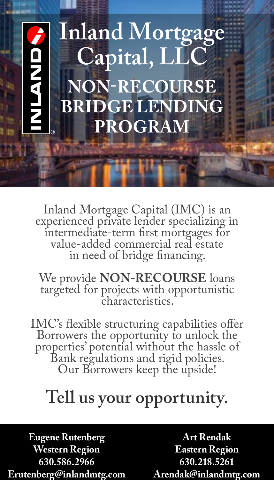# **Inland Mortgage**  NAMD **Capital, LLC NON-RECOURSE BRIDGE LENDING PROGRAM**

Inland Mortgage Capital (IMC) is an experienced private lender specializing in intermediate‐term first mortgages for value‐added commercial real estate in need of bridge financing.

We provide **NON-RECOURSE** loans targeted for projects with opportunistic characteristics.

IMC's flexible structuring capabilities offer Borrowers the opportunity to unlock the Bank regulations and rigid policies. Our Borrowers keep the upside!

#### **Tell us your opportunity.**

**Eugene Rutenberg Western Region 630.586.2966 Erutenberg@inlandmtg.com**

**Art Rendak Eastern Region 630.218.5261 Arendak@inlandmtg.com**